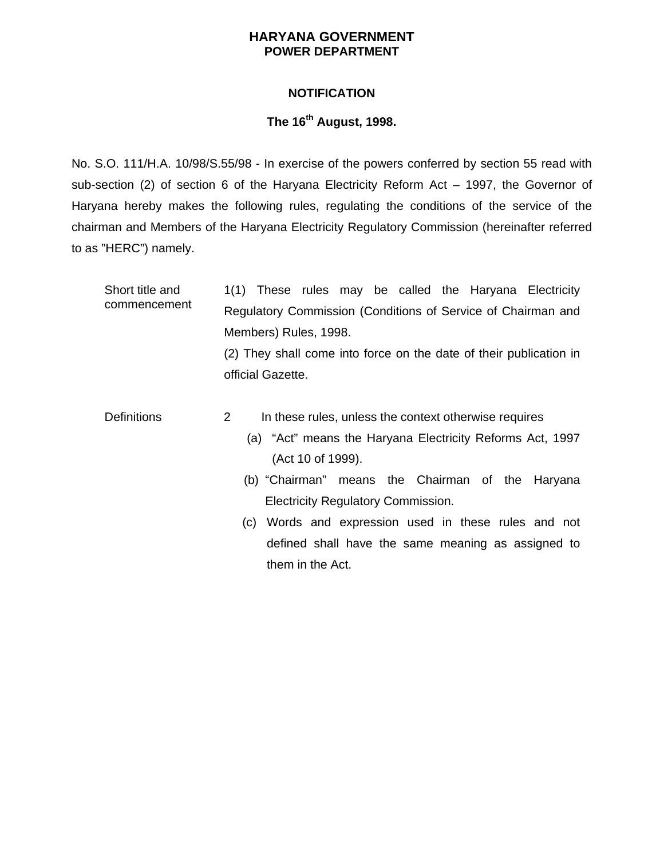## **HARYANA GOVERNMENT POWER DEPARTMENT**

## **NOTIFICATION**

## **The 16th August, 1998.**

 sub-section (2) of section 6 of the Haryana Electricity Reform Act – 1997, the Governor of No. S.O. 111/H.A. 10/98/S.55/98 - In exercise of the powers conferred by section 55 read with Haryana hereby makes the following rules, regulating the conditions of the service of the chairman and Members of the Haryana Electricity Regulatory Commission (hereinafter referred to as "HERC") namely.

| Short title and<br>commencement | 1(1) These rules may be called the Haryana Electricity                 |
|---------------------------------|------------------------------------------------------------------------|
|                                 | Regulatory Commission (Conditions of Service of Chairman and           |
|                                 | Members) Rules, 1998.                                                  |
|                                 | (2) They shall come into force on the date of their publication in     |
|                                 | official Gazette.                                                      |
|                                 |                                                                        |
| <b>Definitions</b>              | $\mathcal{P}$<br>In these rules, unless the context otherwise requires |
|                                 | (a) "Act" means the Haryana Electricity Reforms Act, 1997              |
|                                 | (Act 10 of 1999).                                                      |
|                                 | (b) "Chairman" means the Chairman of the Haryana                       |
|                                 | <b>Electricity Regulatory Commission.</b>                              |
|                                 | Words and expression used in these rules and not<br>(C)                |
|                                 | defined shall have the same meaning as assigned to                     |
|                                 | them in the Act.                                                       |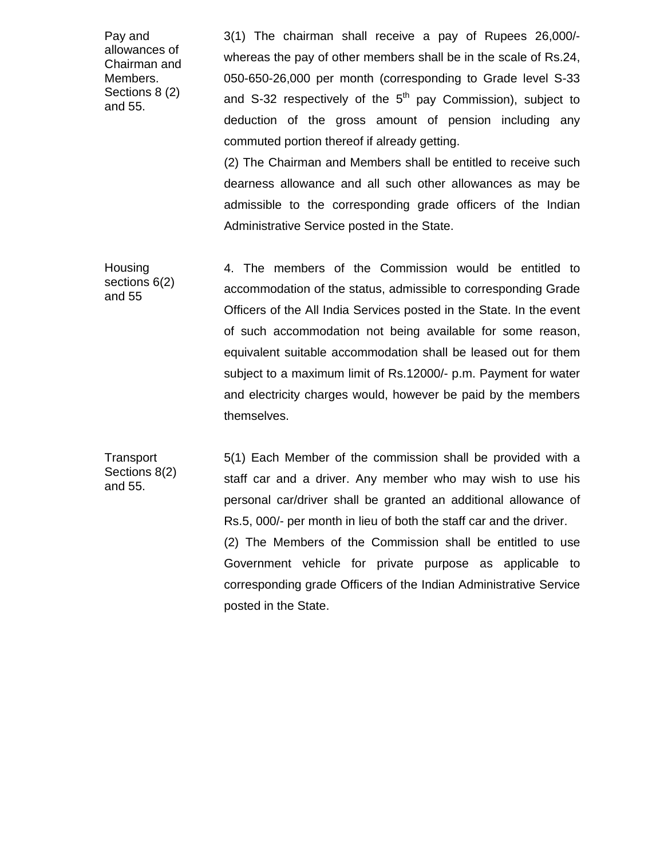Pay and allowances of Chairman and Members. Sections 8 (2) and 55.

 deduction of the gross amount of pension including any 3(1) The chairman shall receive a pay of Rupees 26,000/ whereas the pay of other members shall be in the scale of Rs.24, 050-650-26,000 per month (corresponding to Grade level S-33 and S-32 respectively of the  $5<sup>th</sup>$  pay Commission), subject to commuted portion thereof if already getting.

 dearness allowance and all such other allowances as may be (2) The Chairman and Members shall be entitled to receive such admissible to the corresponding grade officers of the Indian Administrative Service posted in the State.

Housing accommodation of the status, admissible to corresponding Grade and electricity charges would, however be paid by the members sections  $6(2)$ and 55 4. The members of the Commission would be entitled to Officers of the All India Services posted in the State. In the event of such accommodation not being available for some reason, equivalent suitable accommodation shall be leased out for them subject to a maximum limit of Rs.12000/- p.m. Payment for water themselves.

 5(1) Each Member of the commission shall be provided with a personal car/driver shall be granted an additional allowance of Rs.5, 000/- per month in lieu of both the staff car and the driver. (2) The Members of the Commission shall be entitled to use **Transport** Sections 8(2) and 55. staff car and a driver. Any member who may wish to use his Government vehicle for private purpose as applicable to corresponding grade Officers of the Indian Administrative Service posted in the State.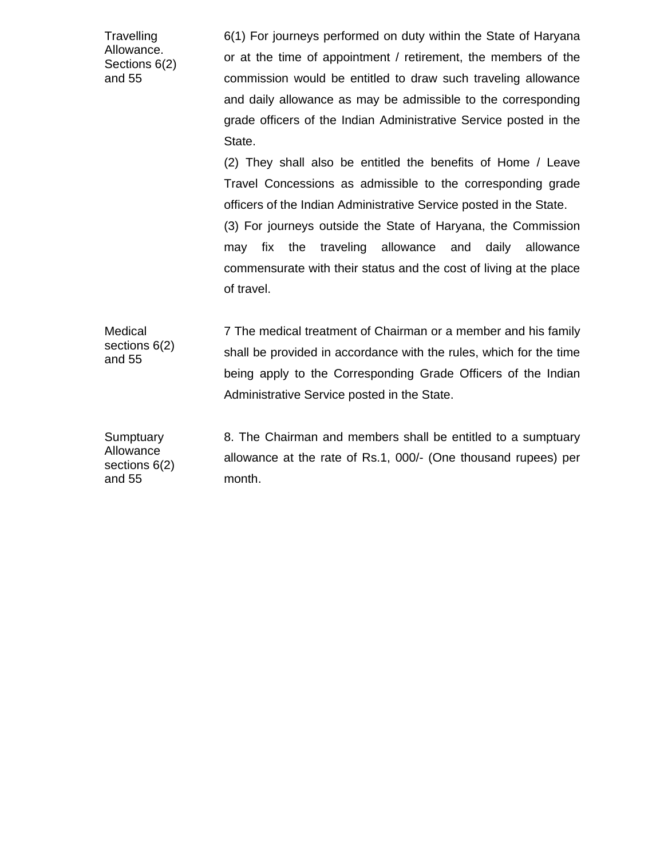**Travelling** Allowance. Sections 6(2) and 55

 6(1) For journeys performed on duty within the State of Haryana and daily allowance as may be admissible to the corresponding grade officers of the Indian Administrative Service posted in the or at the time of appointment / retirement, the members of the commission would be entitled to draw such traveling allowance State.

of travel. (2) They shall also be entitled the benefits of Home / Leave Travel Concessions as admissible to the corresponding grade officers of the Indian Administrative Service posted in the State. (3) For journeys outside the State of Haryana, the Commission may fix the traveling allowance and daily allowance commensurate with their status and the cost of living at the place

 being apply to the Corresponding Grade Officers of the Indian Medical sections 6(2) and 55 7 The medical treatment of Chairman or a member and his family shall be provided in accordance with the rules, which for the time Administrative Service posted in the State.

**Sumptuary** Allowance sections 6(2) and 55 8. The Chairman and members shall be entitled to a sumptuary allowance at the rate of Rs.1, 000/- (One thousand rupees) per month.